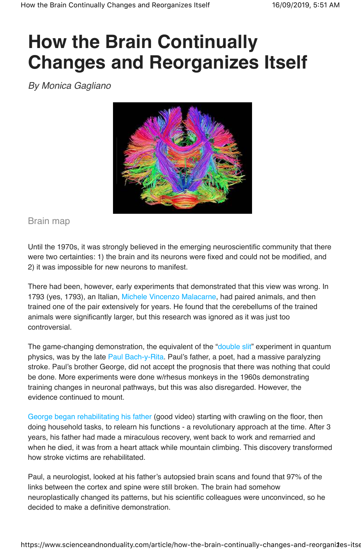## **How the Brain Continually Changes and Reorganizes Itself**

By Monica Gagliano



Brain map

Until the 1970s, it was strongly believed in the emerging neuroscientific community that there were two certainties: 1) the brain and its neurons were fixed and could not be modified, and 2) it was impossible for new neurons to manifest.

There had been, however, early experiments that demonstrated that this view was wrong. In 1793 (yes, 1793), an Italian, Michele Vincenzo Malacarne, had paired animals, and then trained one of the pair extensively for years. He found that the cerebellums of the trained animals were significantly larger, but this research was ignored as it was just too controversial.

The game-changing demonstration, the equivalent of the "double slit" experiment in quantum physics, was by the late Paul Bach-y-Rita. Paul's father, a poet, had a massive paralyzing stroke. Paul's brother George, did not accept the prognosis that there was nothing that could be done. More experiments were done w/rhesus monkeys in the 1960s demonstrating training changes in neuronal pathways, but this was also disregarded. However, the evidence continued to mount.

George began rehabilitating his father (good video) starting with crawling on the floor, then doing household tasks, to relearn his functions - a revolutionary approach at the time. After 3 years, his father had made a miraculous recovery, went back to work and remarried and when he died, it was from a heart attack while mountain climbing. This discovery transformed how stroke victims are rehabilitated.

Paul, a neurologist, looked at his father's autopsied brain scans and found that 97% of the links between the cortex and spine were still broken. The brain had somehow neuroplastically changed its patterns, but his scientific colleagues were unconvinced, so he decided to make a definitive demonstration.

https://www.scienceandnonduality.com/article/how-the-brain-continually-changes-and-reorganiaes-itse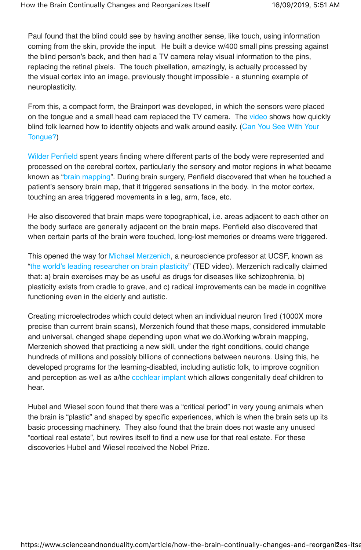Paul found that the blind could see by having another sense, like touch, using information coming from the skin, provide the input. He built a device w/400 small pins pressing against the blind person's back, and then had a TV camera relay visual information to the pins, replacing the retinal pixels. The touch pixellation, amazingly, is actually processed by the visual cortex into an image, previously thought impossible - a stunning example of neuroplasticity.

From this, a compact form, the Brainport was developed, in which the sensors were placed on the tongue and a small head cam replaced the TV camera. The video shows how quickly blind folk learned how to identify objects and walk around easily. (Can You See With Your Tongue?)

Wilder Penfield spent years finding where different parts of the body were represented and processed on the cerebral cortex, particularly the sensory and motor regions in what became known as "brain mapping". During brain surgery, Penfield discovered that when he touched a patient's sensory brain map, that it triggered sensations in the body. In the motor cortex, touching an area triggered movements in a leg, arm, face, etc.

He also discovered that brain maps were topographical, i.e. areas adjacent to each other on the body surface are generally adjacent on the brain maps. Penfield also discovered that when certain parts of the brain were touched, long-lost memories or dreams were triggered.

This opened the way for Michael Merzenich, a neuroscience professor at UCSF, known as "the world's leading researcher on brain plasticity" (TED video). Merzenich radically claimed that: a) brain exercises may be as useful as drugs for diseases like schizophrenia, b) plasticity exists from cradle to grave, and c) radical improvements can be made in cognitive functioning even in the elderly and autistic.

Creating microelectrodes which could detect when an individual neuron fired (1000X more precise than current brain scans), Merzenich found that these maps, considered immutable and universal, changed shape depending upon what we do.Working w/brain mapping, Merzenich showed that practicing a new skill, under the right conditions, could change hundreds of millions and possibly billions of connections between neurons. Using this, he developed programs for the learning-disabled, including autistic folk, to improve cognition and perception as well as a/the cochlear implant which allows congenitally deaf children to hear.

Hubel and Wiesel soon found that there was a "critical period" in very young animals when the brain is "plastic" and shaped by specific experiences, which is when the brain sets up its basic processing machinery. They also found that the brain does not waste any unused "cortical real estate", but rewires itself to find a new use for that real estate. For these discoveries Hubel and Wiesel received the Nobel Prize.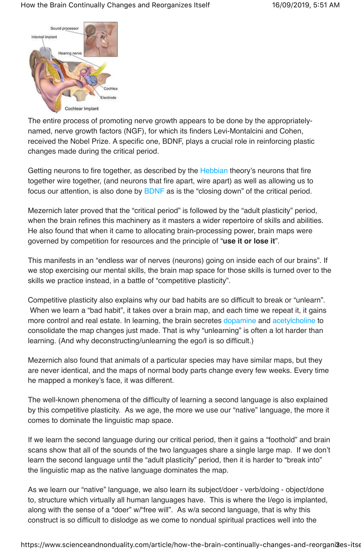

The entire process of promoting nerve growth appears to be done by the appropriatelynamed, nerve growth factors (NGF), for which its finders Levi-Montalcini and Cohen, received the Nobel Prize. A specific one, BDNF, plays a crucial role in reinforcing plastic changes made during the critical period.

Getting neurons to fire together, as described by the Hebbian theory's neurons that fire together wire together, (and neurons that fire apart, wire apart) as well as allowing us to focus our attention, is also done by BDNF as is the "closing down" of the critical period.

Mezernich later proved that the "critical period" is followed by the "adult plasticity" period, when the brain refines this machinery as it masters a wider repertoire of skills and abilities. He also found that when it came to allocating brain-processing power, brain maps were governed by competition for resources and the principle of "**use it or lose it**".

This manifests in an "endless war of nerves (neurons) going on inside each of our brains". If we stop exercising our mental skills, the brain map space for those skills is turned over to the skills we practice instead, in a battle of "competitive plasticity".

Competitive plasticity also explains why our bad habits are so difficult to break or "unlearn". When we learn a "bad habit", it takes over a brain map, and each time we repeat it, it gains more control and real estate. In learning, the brain secretes dopamine and acetylcholine to consolidate the map changes just made. That is why "unlearning" is often a lot harder than learning. (And why deconstructing/unlearning the ego/I is so difficult.)

Mezernich also found that animals of a particular species may have similar maps, but they are never identical, and the maps of normal body parts change every few weeks. Every time he mapped a monkey's face, it was different.

The well-known phenomena of the difficulty of learning a second language is also explained by this competitive plasticity. As we age, the more we use our "native" language, the more it comes to dominate the linguistic map space.

If we learn the second language during our critical period, then it gains a "foothold" and brain scans show that all of the sounds of the two languages share a single large map. If we don't learn the second language until the "adult plasticity" period, then it is harder to "break into" the linguistic map as the native language dominates the map.

As we learn our "native" language, we also learn its subject/doer - verb/doing - object/done to, structure which virtually all human languages have. This is where the I/ego is implanted, along with the sense of a "doer" w/"free will". As w/a second language, that is why this construct is so difficult to dislodge as we come to nondual spiritual practices well into the